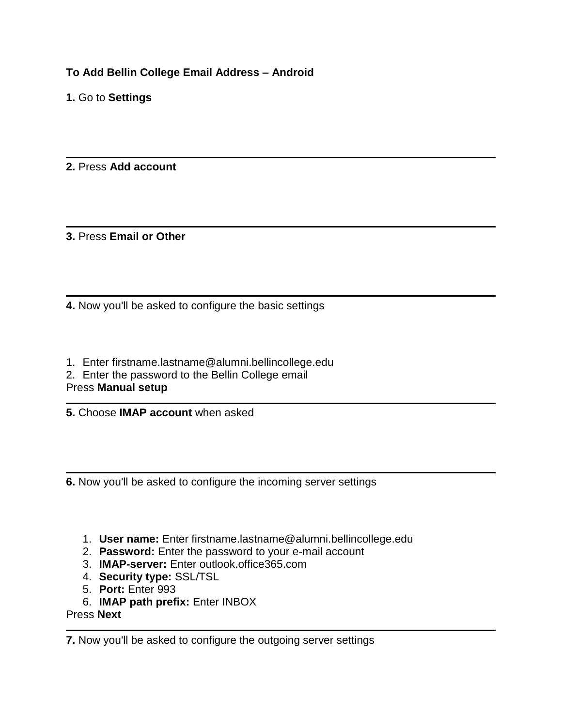**To Add Bellin College Email Address – Android** 

**1.** Go to **Settings**

**2.** Press **Add account**

**3.** Press **Email or Other**

**4.** Now you'll be asked to configure the basic settings

1. Enter firstname.lastname@alumni.bellincollege.edu

2. Enter the password to the Bellin College email

### Press **Manual setup**

**5.** Choose **IMAP account** when asked

**6.** Now you'll be asked to configure the incoming server settings

- 1. **User name:** Enter firstname.lastname@alumni.bellincollege.edu
- 2. **Password:** Enter the password to your e-mail account
- 3. **IMAP-server:** Enter outlook.office365.com
- 4. **Security type:** SSL/TSL
- 5. **Port:** Enter 993
- 6. **IMAP path prefix:** Enter INBOX

Press **Next**

**7.** Now you'll be asked to configure the outgoing server settings